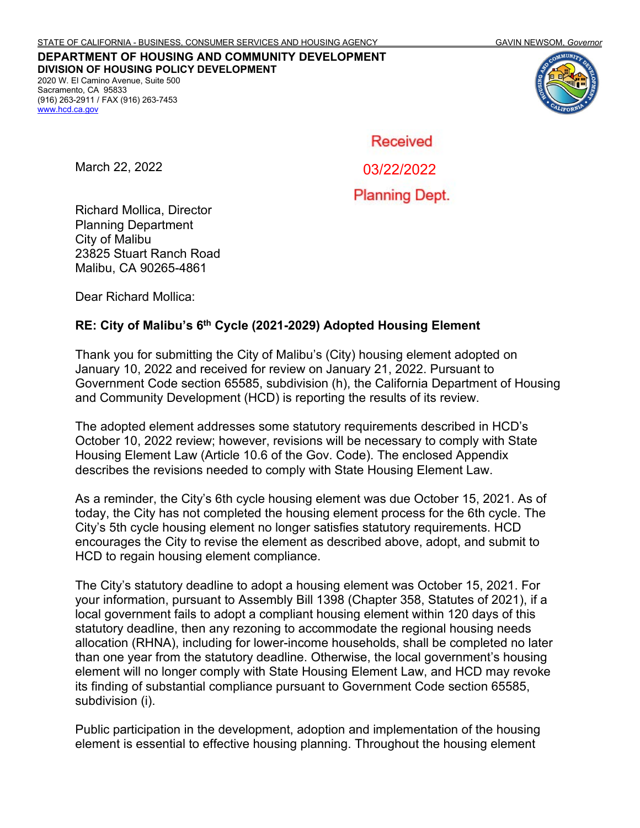**DEPARTMENT OF HOUSING AND COMMUNITY DEVELOPMENT DIVISION OF HOUSING POLICY DEVELOPMENT** 2020 W. El Camino Avenue, Suite 500 Sacramento, CA 95833

(916) 263-2911 / FAX (916) 263-7453 [www.hcd.ca.gov](http://www.hcd.ca.gov/)



Received

March 22, 2022

03/22/2022

**Planning Dept.** 

Richard Mollica, Director Planning Department City of Malibu 23825 Stuart Ranch Road Malibu, CA 90265-4861

Dear Richard Mollica:

#### **RE: City of Malibu's 6th Cycle (2021-2029) Adopted Housing Element**

Thank you for submitting the City of Malibu's (City) housing element adopted on January 10, 2022 and received for review on January 21, 2022. Pursuant to Government Code section 65585, subdivision (h), the California Department of Housing and Community Development (HCD) is reporting the results of its review.

The adopted element addresses some statutory requirements described in HCD's October 10, 2022 review; however, revisions will be necessary to comply with State Housing Element Law (Article 10.6 of the Gov. Code). The enclosed Appendix describes the revisions needed to comply with State Housing Element Law.

As a reminder, the City's 6th cycle housing element was due October 15, 2021. As of today, the City has not completed the housing element process for the 6th cycle. The City's 5th cycle housing element no longer satisfies statutory requirements. HCD encourages the City to revise the element as described above, adopt, and submit to HCD to regain housing element compliance.

The City's statutory deadline to adopt a housing element was October 15, 2021. For your information, pursuant to Assembly Bill 1398 (Chapter 358, Statutes of 2021), if a local government fails to adopt a compliant housing element within 120 days of this statutory deadline, then any rezoning to accommodate the regional housing needs allocation (RHNA), including for lower-income households, shall be completed no later than one year from the statutory deadline. Otherwise, the local government's housing element will no longer comply with State Housing Element Law, and HCD may revoke its finding of substantial compliance pursuant to Government Code section 65585, subdivision (i).

Public participation in the development, adoption and implementation of the housing element is essential to effective housing planning. Throughout the housing element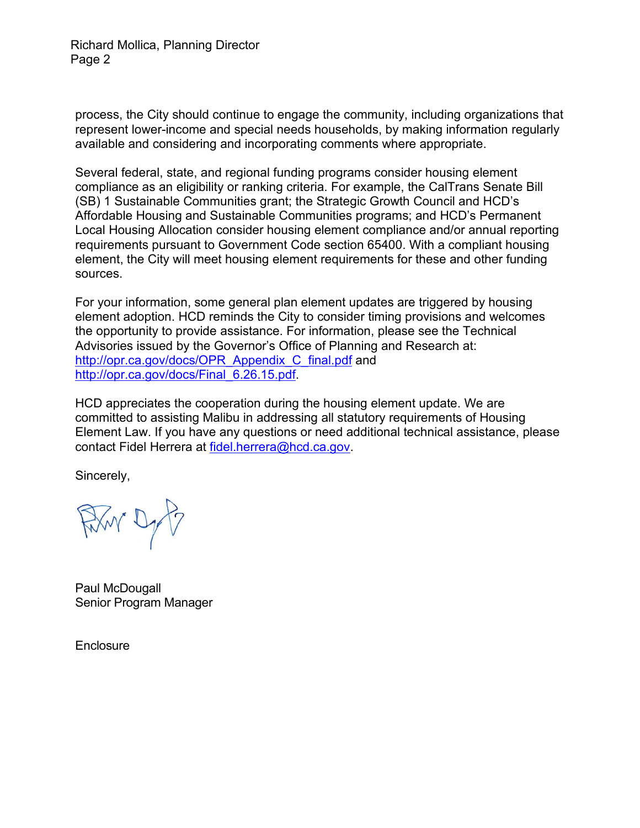Richard Mollica, Planning Director Page 2

process, the City should continue to engage the community, including organizations that represent lower-income and special needs households, by making information regularly available and considering and incorporating comments where appropriate.

Several federal, state, and regional funding programs consider housing element compliance as an eligibility or ranking criteria. For example, the CalTrans Senate Bill (SB) 1 Sustainable Communities grant; the Strategic Growth Council and HCD's Affordable Housing and Sustainable Communities programs; and HCD's Permanent Local Housing Allocation consider housing element compliance and/or annual reporting requirements pursuant to Government Code section 65400. With a compliant housing element, the City will meet housing element requirements for these and other funding sources.

For your information, some general plan element updates are triggered by housing element adoption. HCD reminds the City to consider timing provisions and welcomes the opportunity to provide assistance. For information, please see the Technical Advisories issued by the Governor's Office of Planning and Research at: [http://opr.ca.gov/docs/OPR\\_Appendix\\_C\\_final.pdf](http://opr.ca.gov/docs/OPR_Appendix_C_final.pdf) and [http://opr.ca.gov/docs/Final\\_6.26.15.pdf.](http://opr.ca.gov/docs/Final_6.26.15.pdf)

HCD appreciates the cooperation during the housing element update. We are committed to assisting Malibu in addressing all statutory requirements of Housing Element Law. If you have any questions or need additional technical assistance, please contact Fidel Herrera at [fidel.herrera@hcd.ca.gov.](mailto:fidel.herrera@hcd.ca.gov)

Sincerely,

Film Dy P

Paul McDougall Senior Program Manager

**Enclosure**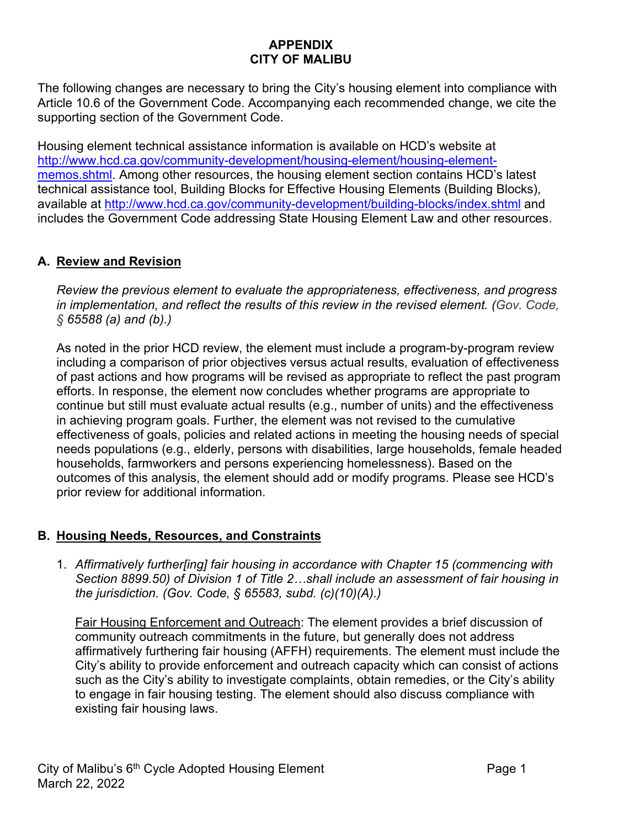## **APPENDIX CITY OF MALIBU**

The following changes are necessary to bring the City's housing element into compliance with Article 10.6 of the Government Code. Accompanying each recommended change, we cite the supporting section of the Government Code.

Housing element technical assistance information is available on HCD's website at [http://www.hcd.ca.gov/community-development/housing-element/housing-element](http://www.hcd.ca.gov/community-development/housing-element/housing-element-memos.shtml)[memos.shtml.](http://www.hcd.ca.gov/community-development/housing-element/housing-element-memos.shtml) Among other resources, the housing element section contains HCD's latest technical assistance tool, Building Blocks for Effective Housing Elements (Building Blocks), available at<http://www.hcd.ca.gov/community-development/building-blocks/index.shtml> and includes the Government Code addressing State Housing Element Law and other resources.

# **A. Review and Revision**

*Review the previous element to evaluate the appropriateness, effectiveness, and progress in implementation, and reflect the results of this review in the revised element. (Gov. Code, § 65588 (a) and (b).)*

As noted in the prior HCD review, the element must include a program-by-program review including a comparison of prior objectives versus actual results, evaluation of effectiveness of past actions and how programs will be revised as appropriate to reflect the past program efforts. In response, the element now concludes whether programs are appropriate to continue but still must evaluate actual results (e.g., number of units) and the effectiveness in achieving program goals. Further, the element was not revised to the cumulative effectiveness of goals, policies and related actions in meeting the housing needs of special needs populations (e.g., elderly, persons with disabilities, large households, female headed households, farmworkers and persons experiencing homelessness). Based on the outcomes of this analysis, the element should add or modify programs. Please see HCD's prior review for additional information.

## **B. Housing Needs, Resources, and Constraints**

1. *Affirmatively further[ing] fair housing in accordance with Chapter 15 (commencing with Section 8899.50) of Division 1 of Title 2…shall include an assessment of fair housing in the jurisdiction. (Gov. Code, § 65583, subd. (c)(10)(A).)* 

Fair Housing Enforcement and Outreach: The element provides a brief discussion of community outreach commitments in the future, but generally does not address affirmatively furthering fair housing (AFFH) requirements. The element must include the City's ability to provide enforcement and outreach capacity which can consist of actions such as the City's ability to investigate complaints, obtain remedies, or the City's ability to engage in fair housing testing. The element should also discuss compliance with existing fair housing laws.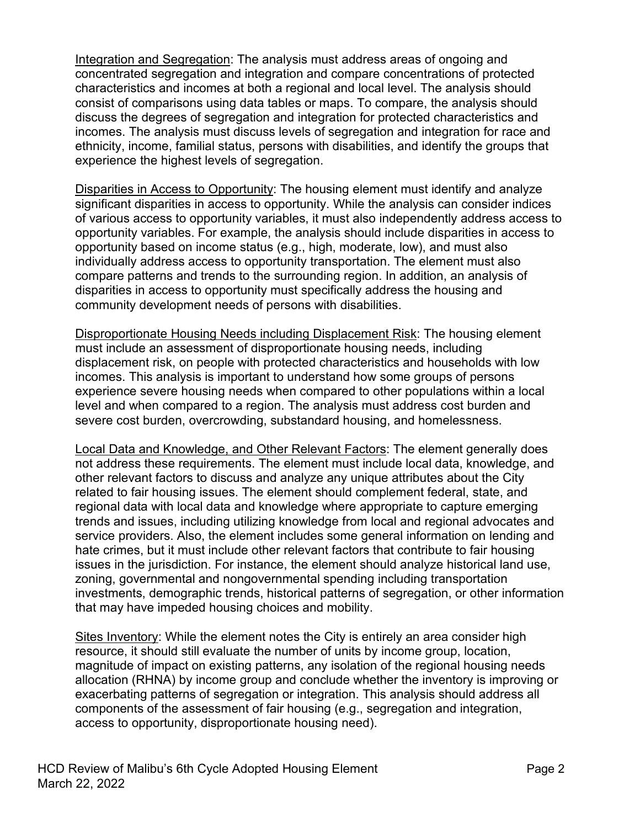Integration and Segregation: The analysis must address areas of ongoing and concentrated segregation and integration and compare concentrations of protected characteristics and incomes at both a regional and local level. The analysis should consist of comparisons using data tables or maps. To compare, the analysis should discuss the degrees of segregation and integration for protected characteristics and incomes. The analysis must discuss levels of segregation and integration for race and ethnicity, income, familial status, persons with disabilities, and identify the groups that experience the highest levels of segregation.

Disparities in Access to Opportunity: The housing element must identify and analyze significant disparities in access to opportunity. While the analysis can consider indices of various access to opportunity variables, it must also independently address access to opportunity variables. For example, the analysis should include disparities in access to opportunity based on income status (e.g., high, moderate, low), and must also individually address access to opportunity transportation. The element must also compare patterns and trends to the surrounding region. In addition, an analysis of disparities in access to opportunity must specifically address the housing and community development needs of persons with disabilities.

Disproportionate Housing Needs including Displacement Risk: The housing element must include an assessment of disproportionate housing needs, including displacement risk, on people with protected characteristics and households with low incomes. This analysis is important to understand how some groups of persons experience severe housing needs when compared to other populations within a local level and when compared to a region. The analysis must address cost burden and severe cost burden, overcrowding, substandard housing, and homelessness.

Local Data and Knowledge, and Other Relevant Factors: The element generally does not address these requirements. The element must include local data, knowledge, and other relevant factors to discuss and analyze any unique attributes about the City related to fair housing issues. The element should complement federal, state, and regional data with local data and knowledge where appropriate to capture emerging trends and issues, including utilizing knowledge from local and regional advocates and service providers. Also, the element includes some general information on lending and hate crimes, but it must include other relevant factors that contribute to fair housing issues in the jurisdiction. For instance, the element should analyze historical land use, zoning, governmental and nongovernmental spending including transportation investments, demographic trends, historical patterns of segregation, or other information that may have impeded housing choices and mobility.

Sites Inventory: While the element notes the City is entirely an area consider high resource, it should still evaluate the number of units by income group, location, magnitude of impact on existing patterns, any isolation of the regional housing needs allocation (RHNA) by income group and conclude whether the inventory is improving or exacerbating patterns of segregation or integration. This analysis should address all components of the assessment of fair housing (e.g., segregation and integration, access to opportunity, disproportionate housing need).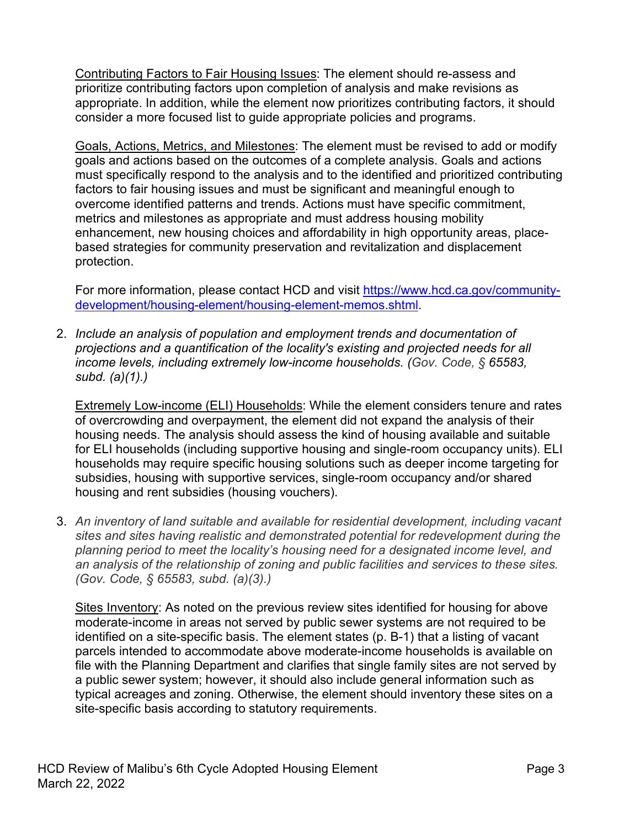Contributing Factors to Fair Housing Issues: The element should re-assess and prioritize contributing factors upon completion of analysis and make revisions as appropriate. In addition, while the element now prioritizes contributing factors, it should consider a more focused list to guide appropriate policies and programs.

Goals, Actions, Metrics, and Milestones: The element must be revised to add or modify goals and actions based on the outcomes of a complete analysis. Goals and actions must specifically respond to the analysis and to the identified and prioritized contributing factors to fair housing issues and must be significant and meaningful enough to overcome identified patterns and trends. Actions must have specific commitment, metrics and milestones as appropriate and must address housing mobility enhancement, new housing choices and affordability in high opportunity areas, placebased strategies for community preservation and revitalization and displacement protection.

For more information, please contact HCD and visit [https://www.hcd.ca.gov/community](https://www.hcd.ca.gov/community-development/housing-element/housing-element-memos.shtml)[development/housing-element/housing-element-memos.shtml.](https://www.hcd.ca.gov/community-development/housing-element/housing-element-memos.shtml)

2. *Include an analysis of population and employment trends and documentation of projections and a quantification of the locality's existing and projected needs for all income levels, including extremely low-income households. (Gov. Code, § 65583, subd. (a)(1).)*

Extremely Low-income (ELI) Households: While the element considers tenure and rates of overcrowding and overpayment, the element did not expand the analysis of their housing needs. The analysis should assess the kind of housing available and suitable for ELI households (including supportive housing and single-room occupancy units). ELI households may require specific housing solutions such as deeper income targeting for subsidies, housing with supportive services, single-room occupancy and/or shared housing and rent subsidies (housing vouchers).

3. *An inventory of land suitable and available for residential development, including vacant sites and sites having realistic and demonstrated potential for redevelopment during the planning period to meet the locality's housing need for a designated income level, and an analysis of the relationship of zoning and public facilities and services to these sites. (Gov. Code, § 65583, subd. (a)(3).)* 

Sites Inventory: As noted on the previous review sites identified for housing for above moderate-income in areas not served by public sewer systems are not required to be identified on a site-specific basis. The element states (p. B-1) that a listing of vacant parcels intended to accommodate above moderate-income households is available on file with the Planning Department and clarifies that single family sites are not served by a public sewer system; however, it should also include general information such as typical acreages and zoning. Otherwise, the element should inventory these sites on a site-specific basis according to statutory requirements.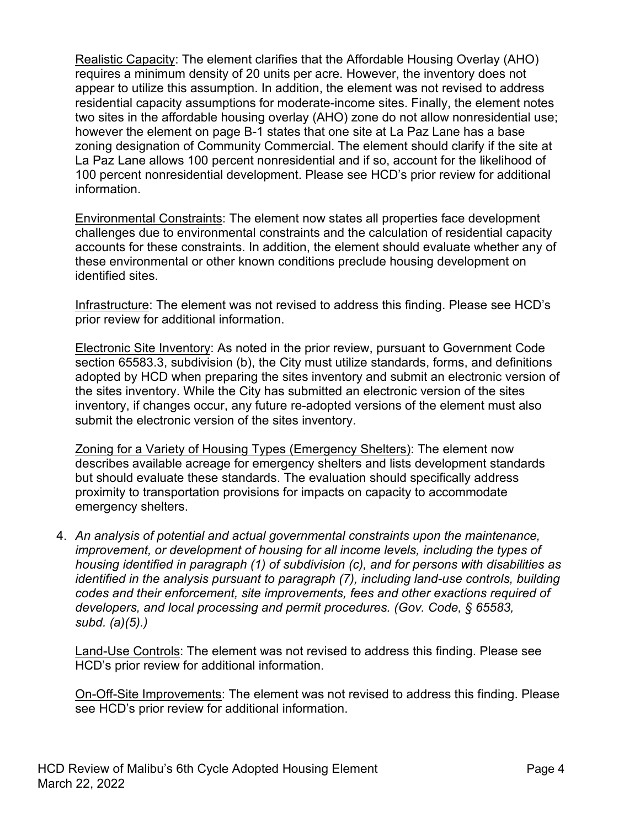Realistic Capacity: The element clarifies that the Affordable Housing Overlay (AHO) requires a minimum density of 20 units per acre. However, the inventory does not appear to utilize this assumption. In addition, the element was not revised to address residential capacity assumptions for moderate-income sites. Finally, the element notes two sites in the affordable housing overlay (AHO) zone do not allow nonresidential use; however the element on page B-1 states that one site at La Paz Lane has a base zoning designation of Community Commercial. The element should clarify if the site at La Paz Lane allows 100 percent nonresidential and if so, account for the likelihood of 100 percent nonresidential development. Please see HCD's prior review for additional information.

Environmental Constraints: The element now states all properties face development challenges due to environmental constraints and the calculation of residential capacity accounts for these constraints. In addition, the element should evaluate whether any of these environmental or other known conditions preclude housing development on identified sites.

Infrastructure: The element was not revised to address this finding. Please see HCD's prior review for additional information.

Electronic Site Inventory: As noted in the prior review, pursuant to Government Code section 65583.3, subdivision (b), the City must utilize standards, forms, and definitions adopted by HCD when preparing the sites inventory and submit an electronic version of the sites inventory. While the City has submitted an electronic version of the sites inventory, if changes occur, any future re-adopted versions of the element must also submit the electronic version of the sites inventory.

Zoning for a Variety of Housing Types (Emergency Shelters): The element now describes available acreage for emergency shelters and lists development standards but should evaluate these standards. The evaluation should specifically address proximity to transportation provisions for impacts on capacity to accommodate emergency shelters.

4. *An analysis of potential and actual governmental constraints upon the maintenance, improvement, or development of housing for all income levels, including the types of housing identified in paragraph (1) of subdivision (c), and for persons with disabilities as identified in the analysis pursuant to paragraph (7), including land-use controls, building codes and their enforcement, site improvements, fees and other exactions required of developers, and local processing and permit procedures. (Gov. Code, § 65583, subd. (a)(5).)*

Land-Use Controls: The element was not revised to address this finding. Please see HCD's prior review for additional information.

On-Off-Site Improvements: The element was not revised to address this finding. Please see HCD's prior review for additional information.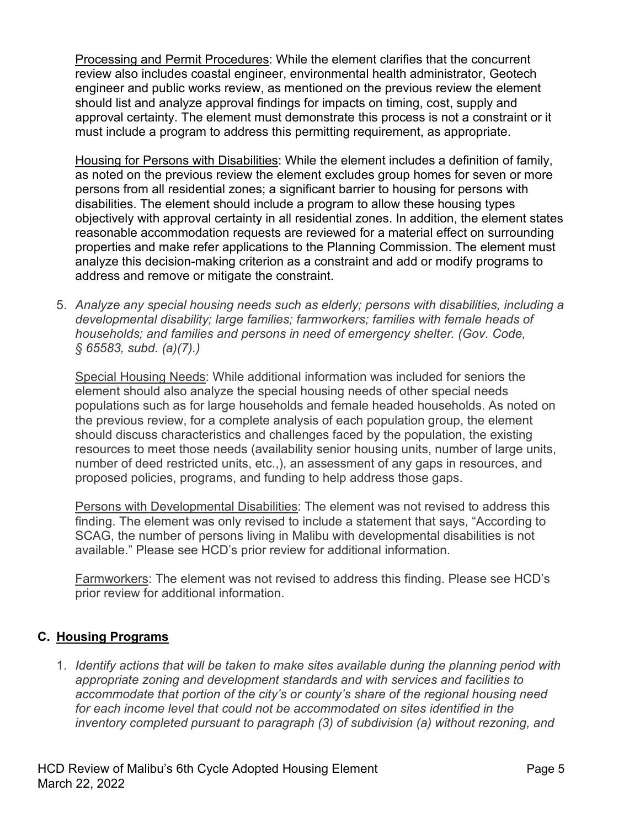Processing and Permit Procedures: While the element clarifies that the concurrent review also includes coastal engineer, environmental health administrator, Geotech engineer and public works review, as mentioned on the previous review the element should list and analyze approval findings for impacts on timing, cost, supply and approval certainty. The element must demonstrate this process is not a constraint or it must include a program to address this permitting requirement, as appropriate.

Housing for Persons with Disabilities: While the element includes a definition of family, as noted on the previous review the element excludes group homes for seven or more persons from all residential zones; a significant barrier to housing for persons with disabilities. The element should include a program to allow these housing types objectively with approval certainty in all residential zones. In addition, the element states reasonable accommodation requests are reviewed for a material effect on surrounding properties and make refer applications to the Planning Commission. The element must analyze this decision-making criterion as a constraint and add or modify programs to address and remove or mitigate the constraint.

5. *Analyze any special housing needs such as elderly; persons with disabilities, including a developmental disability; large families; farmworkers; families with female heads of households; and families and persons in need of emergency shelter. (Gov. Code, § 65583, subd. (a)(7).)*

Special Housing Needs: While additional information was included for seniors the element should also analyze the special housing needs of other special needs populations such as for large households and female headed households. As noted on the previous review, for a complete analysis of each population group, the element should discuss characteristics and challenges faced by the population, the existing resources to meet those needs (availability senior housing units, number of large units, number of deed restricted units, etc.,), an assessment of any gaps in resources, and proposed policies, programs, and funding to help address those gaps.

Persons with Developmental Disabilities: The element was not revised to address this finding. The element was only revised to include a statement that says, "According to SCAG, the number of persons living in Malibu with developmental disabilities is not available." Please see HCD's prior review for additional information.

Farmworkers: The element was not revised to address this finding. Please see HCD's prior review for additional information.

## **C. Housing Programs**

1. *Identify actions that will be taken to make sites available during the planning period with appropriate zoning and development standards and with services and facilities to accommodate that portion of the city's or county's share of the regional housing need*  for each income level that could not be accommodated on sites identified in the *inventory completed pursuant to paragraph (3) of subdivision (a) without rezoning, and*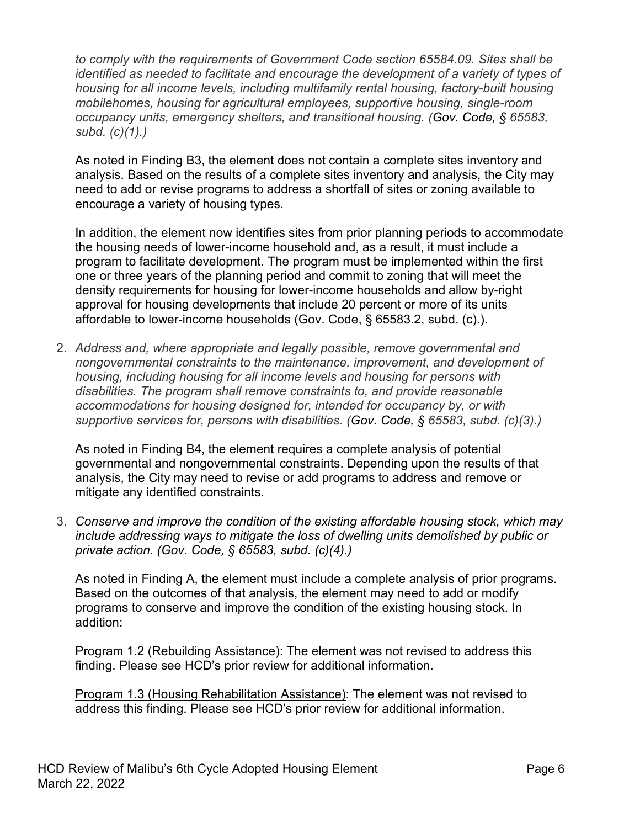*to comply with the requirements of Government Code section 65584.09. Sites shall be identified as needed to facilitate and encourage the development of a variety of types of housing for all income levels, including multifamily rental housing, factory-built housing mobilehomes, housing for agricultural employees, supportive housing, single-room occupancy units, emergency shelters, and transitional housing. (Gov. Code, § 65583, subd. (c)(1).)*

As noted in Finding B3, the element does not contain a complete sites inventory and analysis. Based on the results of a complete sites inventory and analysis, the City may need to add or revise programs to address a shortfall of sites or zoning available to encourage a variety of housing types.

In addition, the element now identifies sites from prior planning periods to accommodate the housing needs of lower-income household and, as a result, it must include a program to facilitate development. The program must be implemented within the first one or three years of the planning period and commit to zoning that will meet the density requirements for housing for lower-income households and allow by-right approval for housing developments that include 20 percent or more of its units affordable to lower-income households (Gov. Code, § 65583.2, subd. (c).).

2. *Address and, where appropriate and legally possible, remove governmental and nongovernmental constraints to the maintenance, improvement, and development of housing, including housing for all income levels and housing for persons with disabilities. The program shall remove constraints to, and provide reasonable accommodations for housing designed for, intended for occupancy by, or with supportive services for, persons with disabilities. (Gov. Code, § 65583, subd. (c)(3).)*

As noted in Finding B4, the element requires a complete analysis of potential governmental and nongovernmental constraints. Depending upon the results of that analysis, the City may need to revise or add programs to address and remove or mitigate any identified constraints.

3. *Conserve and improve the condition of the existing affordable housing stock, which may include addressing ways to mitigate the loss of dwelling units demolished by public or private action. (Gov. Code, § 65583, subd. (c)(4).)*

As noted in Finding A, the element must include a complete analysis of prior programs. Based on the outcomes of that analysis, the element may need to add or modify programs to conserve and improve the condition of the existing housing stock. In addition:

Program 1.2 (Rebuilding Assistance): The element was not revised to address this finding. Please see HCD's prior review for additional information.

Program 1.3 (Housing Rehabilitation Assistance): The element was not revised to address this finding. Please see HCD's prior review for additional information.